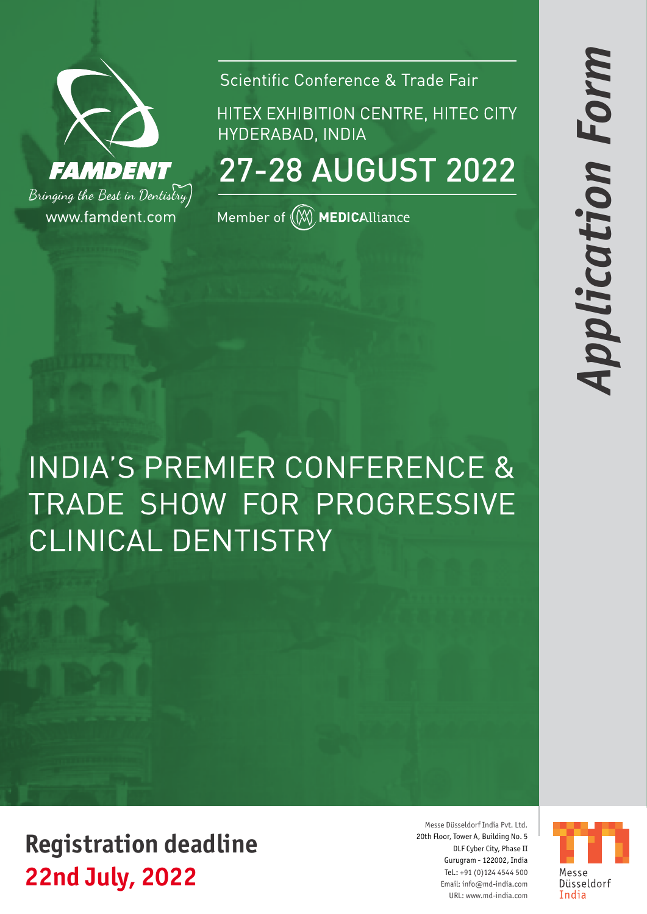

Scientific Conference & Trade Fair

HITEX EXHIBITION CENTRE, HITEC CITY HYDERABAD, INDIA

27-28 AUGUST 2022

Member of  $\left(\!\!\left(\widetilde{\mathbb{M}}\right)\!\!\right)$  MEDICAlliance

**INDIA'S PREMIER CONFERENCE &** TRADE SHOW FOR PROGRESSIVE **CLINICAL DENTISTRY** 

**22nd July, 2022 Registration deadline**

Messe Düsseldorf India Pvt. Ltd. 20th Floor, Tower A, Building No. 5 DLF Cyber City, Phase II Gurugram - 122002, India Tel.: +91 (0)124 4544 500 Email: info@md-india.com URL: www.md-india.com

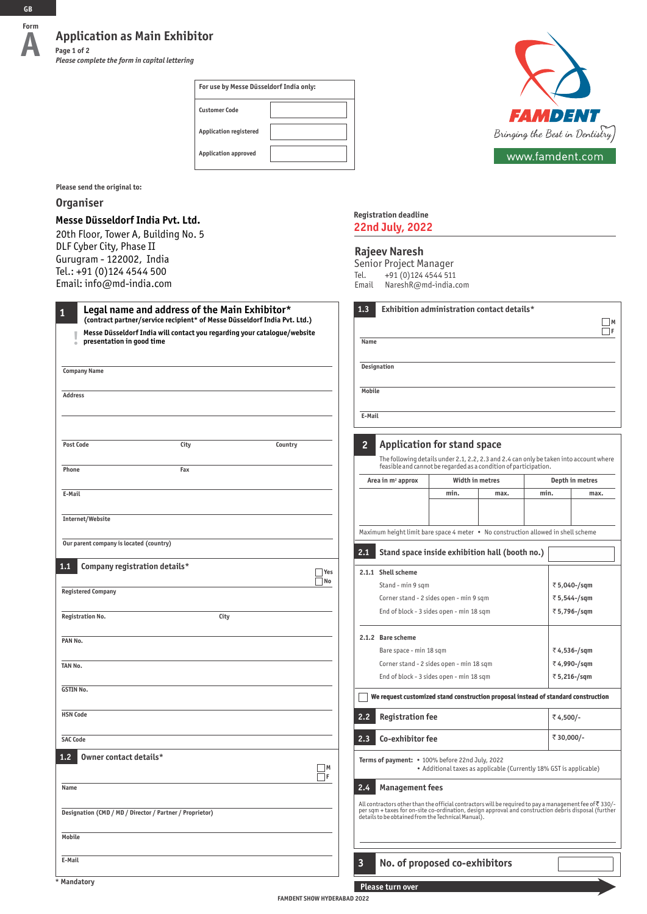### **Application as Main Exhibitor Page 1 of 2**

*Please complete the form in capital lettering*

| For use by Messe Düsseldorf India only: |  |  |  |
|-----------------------------------------|--|--|--|
| <b>Customer Code</b>                    |  |  |  |
| <b>Application registered</b>           |  |  |  |
| <b>Application approved</b>             |  |  |  |



**Please send the original to:**

### **Organiser**

### **Messe Düsseldorf India Pvt. Ltd.**

20th Floor, Tower A, Building No. 5 DLF Cyber City, Phase II Gurugram - 122002, India Tel.: +91 (0)124 4544 500 Email: info@md-india.com

| 1                | Legal name and address of the Main Exhibitor*<br>(contract partner/service recipient* of Messe Düsseldorf India Pvt. Ltd.) |  |  |
|------------------|----------------------------------------------------------------------------------------------------------------------------|--|--|
| I                | Messe Düsseldorf India will contact you regarding your catalogue/website<br>presentation in good time                      |  |  |
|                  |                                                                                                                            |  |  |
|                  | <b>Company Name</b>                                                                                                        |  |  |
| <b>Address</b>   |                                                                                                                            |  |  |
|                  |                                                                                                                            |  |  |
| <b>Post Code</b> | City<br>Country                                                                                                            |  |  |
| Phone            | Fax                                                                                                                        |  |  |
| E-Mail           |                                                                                                                            |  |  |
|                  | Internet/Website                                                                                                           |  |  |
|                  | Our parent company is located (country)                                                                                    |  |  |
| 1.1              | Company registration details*                                                                                              |  |  |
|                  | Yes<br>No                                                                                                                  |  |  |
|                  | <b>Registered Company</b>                                                                                                  |  |  |
|                  | <b>Registration No.</b><br>City                                                                                            |  |  |
| PAN No.          |                                                                                                                            |  |  |
| TAN No.          |                                                                                                                            |  |  |
| <b>GSTIN No.</b> |                                                                                                                            |  |  |
| <b>HSN Code</b>  |                                                                                                                            |  |  |
| <b>SAC Code</b>  |                                                                                                                            |  |  |
| 1.2              | Owner contact details*<br>M                                                                                                |  |  |
| Name             | 1F                                                                                                                         |  |  |
|                  | Designation (CMD / MD / Director / Partner / Proprietor)                                                                   |  |  |
|                  |                                                                                                                            |  |  |
| Mobile           |                                                                                                                            |  |  |

### **Registration deadline 22nd July, 2022**

#### **Rajeev Naresh**

Senior Project Manager Tel. +91 (0)124 4544 511 Email NareshR@md-india.com

| Name                                     |                               |                                                                                                                                                                                                                                                                                  |             |             |              | F               |
|------------------------------------------|-------------------------------|----------------------------------------------------------------------------------------------------------------------------------------------------------------------------------------------------------------------------------------------------------------------------------|-------------|-------------|--------------|-----------------|
|                                          |                               |                                                                                                                                                                                                                                                                                  |             |             |              |                 |
|                                          | Designation                   |                                                                                                                                                                                                                                                                                  |             |             |              |                 |
| <b>Mobile</b>                            |                               |                                                                                                                                                                                                                                                                                  |             |             |              |                 |
| E-Mail                                   |                               |                                                                                                                                                                                                                                                                                  |             |             |              |                 |
|                                          |                               |                                                                                                                                                                                                                                                                                  |             |             |              |                 |
| 2                                        |                               | <b>Application for stand space</b>                                                                                                                                                                                                                                               |             |             |              |                 |
|                                          |                               | The following details under 2.1, 2.2, 2.3 and 2.4 can only be taken into account where<br>feasible and cannot be regarded as a condition of participation.                                                                                                                       |             |             |              |                 |
|                                          | Area in m <sup>2</sup> approx | Width in metres                                                                                                                                                                                                                                                                  |             |             |              | Depth in metres |
|                                          |                               | min.                                                                                                                                                                                                                                                                             | max.        | min.        |              | max.            |
|                                          |                               |                                                                                                                                                                                                                                                                                  |             |             |              |                 |
|                                          |                               | Maximum height limit bare space 4 meter • No construction allowed in shell scheme                                                                                                                                                                                                |             |             |              |                 |
|                                          |                               |                                                                                                                                                                                                                                                                                  |             |             |              |                 |
| 2.1                                      |                               | Stand space inside exhibition hall (booth no.)                                                                                                                                                                                                                                   |             |             |              |                 |
|                                          | 2.1.1 Shell scheme            |                                                                                                                                                                                                                                                                                  |             |             |              |                 |
|                                          | Stand - min 9 sqm             |                                                                                                                                                                                                                                                                                  |             |             | ₹ 5,040-/sqm |                 |
|                                          |                               | Corner stand - 2 sides open - min 9 sqm                                                                                                                                                                                                                                          |             |             | ₹ 5,544-/sqm |                 |
|                                          |                               | End of block - 3 sides open - min 18 sqm                                                                                                                                                                                                                                         |             |             |              | ₹ 5,796-/sqm    |
|                                          | 2.1.2 Bare scheme             |                                                                                                                                                                                                                                                                                  |             |             |              |                 |
| Bare space - min 18 sqm                  |                               |                                                                                                                                                                                                                                                                                  |             | ₹4,536-/sqm |              |                 |
| Corner stand - 2 sides open - min 18 sqm |                               |                                                                                                                                                                                                                                                                                  | ₹4,990-/sqm |             |              |                 |
| End of block - 3 sides open - min 18 sqm |                               |                                                                                                                                                                                                                                                                                  |             |             | ₹ 5,216-/sqm |                 |
|                                          |                               | We request customized stand construction proposal instead of standard construction                                                                                                                                                                                               |             |             |              |                 |
| 2.2                                      | <b>Registration fee</b>       |                                                                                                                                                                                                                                                                                  |             |             | ₹4,500/-     |                 |
| Co-exhibitor fee<br>2.3                  |                               |                                                                                                                                                                                                                                                                                  | ₹ 30,000/-  |             |              |                 |
|                                          |                               | Terms of payment: • 100% before 22nd July, 2022<br>• Additional taxes as applicable (Currently 18% GST is applicable)                                                                                                                                                            |             |             |              |                 |
|                                          |                               |                                                                                                                                                                                                                                                                                  |             |             |              |                 |
|                                          | 2.4 Management fees           |                                                                                                                                                                                                                                                                                  |             |             |              |                 |
|                                          |                               | All contractors other than the official contractors will be required to pay a management fee of $\bar{\tau}$ 330/-<br>per sqm + taxes for on-site co-ordination, design approval and construction debris disposal (further<br>details to be obtained from the Technical Manual). |             |             |              |                 |

**E-Mail**

**Please turn over**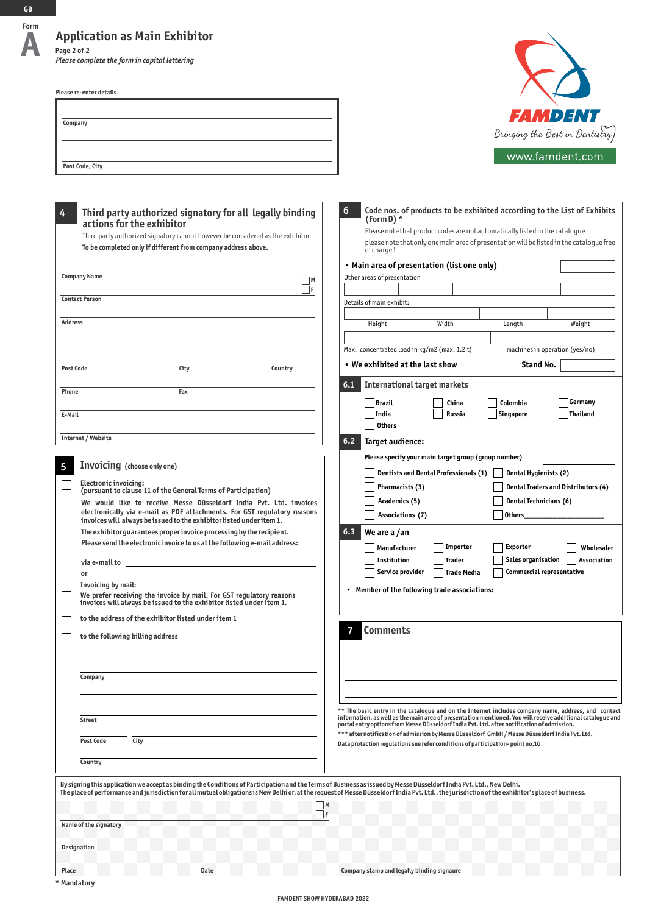### **Application as Main Exhibitor Page 2 of 2**

*Please complete the form in capital lettering*

**Please re-enter details**

| Company         |  |  |
|-----------------|--|--|
|                 |  |  |
|                 |  |  |
|                 |  |  |
| Post Code, City |  |  |



| ,,,,,,,,,,,,,,,,,,,,,, |  |  |
|------------------------|--|--|
|                        |  |  |
|                        |  |  |
|                        |  |  |

| Third party authorized signatory for all legally binding                                                                                                                                        | 6<br>Code nos. of products to be exhibited according to the List of Exhibits                                                                                                                                      |
|-------------------------------------------------------------------------------------------------------------------------------------------------------------------------------------------------|-------------------------------------------------------------------------------------------------------------------------------------------------------------------------------------------------------------------|
| actions for the exhibitor                                                                                                                                                                       | (Form D) $*$                                                                                                                                                                                                      |
| Third party authorized signatory cannot however be considered as the exhibitor.                                                                                                                 | Please note that product codes are not automatically listed in the catalogue                                                                                                                                      |
| To be completed only if different from company address above.                                                                                                                                   | please note that only one main area of presentation will be listed in the cataloque free<br>of charge!                                                                                                            |
|                                                                                                                                                                                                 | • Main area of presentation (list one only)                                                                                                                                                                       |
| <b>Company Name</b><br>$\Box$ M                                                                                                                                                                 | Other areas of presentation                                                                                                                                                                                       |
| $\Box$ f<br><b>Contact Person</b>                                                                                                                                                               |                                                                                                                                                                                                                   |
|                                                                                                                                                                                                 | Details of main exhibit:                                                                                                                                                                                          |
| <b>Address</b>                                                                                                                                                                                  | Width<br>Height<br>Length<br>Weight                                                                                                                                                                               |
|                                                                                                                                                                                                 | Max. concentrated load in kg/m2 (max. 1.2 t)<br>machines in operation (yes/no)                                                                                                                                    |
| City<br>Country<br><b>Post Code</b>                                                                                                                                                             | • We exhibited at the last show<br>Stand No.                                                                                                                                                                      |
|                                                                                                                                                                                                 | <b>International target markets</b><br>6,1                                                                                                                                                                        |
| Phone<br>Fax                                                                                                                                                                                    |                                                                                                                                                                                                                   |
| E-Mail                                                                                                                                                                                          | Germany<br><b>Brazil</b><br>China<br>Colombia<br>India<br><b>Russia</b><br>Thailand<br><b>Singapore</b>                                                                                                           |
|                                                                                                                                                                                                 | <b>Others</b>                                                                                                                                                                                                     |
| Internet / Website                                                                                                                                                                              | 6.2<br>Target audience:                                                                                                                                                                                           |
|                                                                                                                                                                                                 | Please specify your main target group (group number)                                                                                                                                                              |
| <b>Invoicing</b> (choose only one)                                                                                                                                                              | Dentists and Dental Professionals (1)<br>Dental Hygienists (2)                                                                                                                                                    |
| <b>Electronic invoicing:</b>                                                                                                                                                                    | <b>Dental Traders and Distributors (4)</b><br>Pharmacists (3)                                                                                                                                                     |
| (pursuant to clause 11 of the General Terms of Participation)                                                                                                                                   | Dental Technicians (6)<br>Academics (5)                                                                                                                                                                           |
| We would like to receive Messe Düsseldorf India Pvt. Ltd. invoices<br>electronically via e-mail as PDF attachments. For GST regulatory reasons                                                  | Others_<br>Associations (7)                                                                                                                                                                                       |
| invoices will always be issued to the exhibitor listed under item 1.                                                                                                                            |                                                                                                                                                                                                                   |
| The exhibitor guarantees proper invoice processing by the recipient.<br>Please send the electronic invoice to us at the following e-mail address:                                               | 6.3<br>We are a /an                                                                                                                                                                                               |
|                                                                                                                                                                                                 | Importer<br><b>Exporter</b><br>Manufacturer<br>Wholesaler                                                                                                                                                         |
| via e-mail to __                                                                                                                                                                                | Sales organisation<br>Institution<br>Association<br>Trader                                                                                                                                                        |
| or                                                                                                                                                                                              | Service provider<br><b>Commercial representative</b><br><b>Trade Media</b>                                                                                                                                        |
| Invoicing by mail:<br>We prefer receiving the invoice by mail. For GST regulatory reasons                                                                                                       | • Member of the following trade associations:                                                                                                                                                                     |
| invoices will always be issued to the exhibitor listed under item 1.                                                                                                                            |                                                                                                                                                                                                                   |
| to the address of the exhibitor listed under item 1                                                                                                                                             |                                                                                                                                                                                                                   |
| to the following billing address                                                                                                                                                                | <b>Comments</b>                                                                                                                                                                                                   |
|                                                                                                                                                                                                 |                                                                                                                                                                                                                   |
|                                                                                                                                                                                                 |                                                                                                                                                                                                                   |
| Company                                                                                                                                                                                         |                                                                                                                                                                                                                   |
|                                                                                                                                                                                                 |                                                                                                                                                                                                                   |
|                                                                                                                                                                                                 |                                                                                                                                                                                                                   |
| <b>Street</b>                                                                                                                                                                                   | ** The basic entry in the catalogue and on the Internet includes company name, address, and contact<br>information, as well as the main area of presentation mentioned. You will receive additional cataloque and |
|                                                                                                                                                                                                 | portal entry options from Messe Düsseldorf India Pvt. Ltd. after notification of admission.<br>*** after notification of admission by Messe Düsseldorf GmbH / Messe Düsseldorf India Pvt. Ltd.                    |
| City<br><b>Post Code</b>                                                                                                                                                                        | Data protection regulations see refer conditions of participation-point no.10                                                                                                                                     |
| Country                                                                                                                                                                                         |                                                                                                                                                                                                                   |
|                                                                                                                                                                                                 |                                                                                                                                                                                                                   |
| By signing this application we accept as binding the Conditions of Participation and the Terms of Business as issued by Messe Düsseldorf India Pvt. Ltd., New Delhi.                            |                                                                                                                                                                                                                   |
| The place of performance and jurisdiction for all mutual obligations is New Delhior, at the request of Messe Düsseldorf India Pvt. Ltd., the jurisdiction of the exhibitor's place of business. | M                                                                                                                                                                                                                 |
| -lF                                                                                                                                                                                             |                                                                                                                                                                                                                   |
| Name of the signatory                                                                                                                                                                           |                                                                                                                                                                                                                   |
| Designation                                                                                                                                                                                     |                                                                                                                                                                                                                   |
|                                                                                                                                                                                                 |                                                                                                                                                                                                                   |
| Place<br>Date                                                                                                                                                                                   | Company stamp and legally binding signaure                                                                                                                                                                        |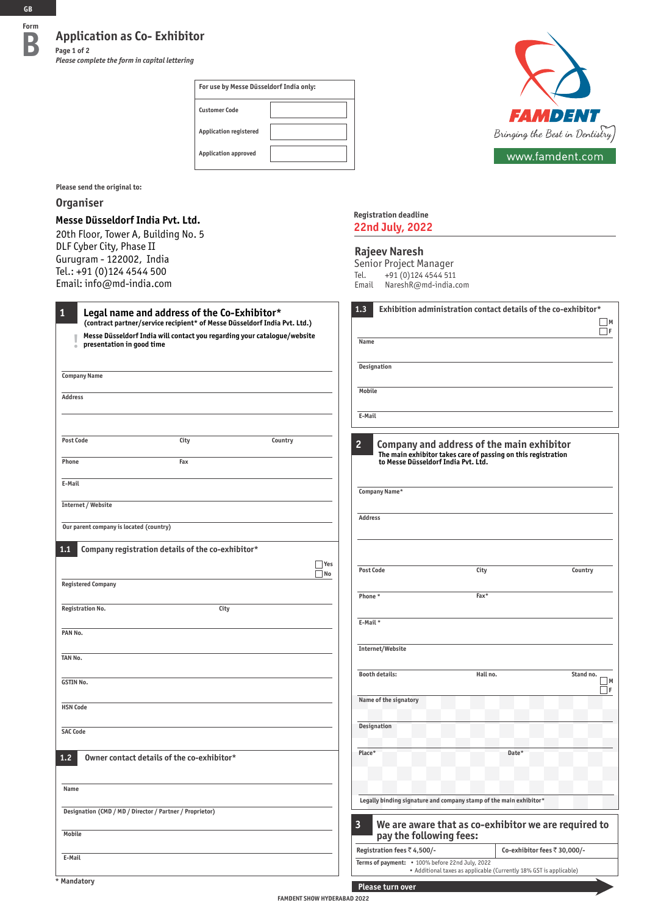**Application as Co- Exhibitor**<br>**B Page 1 of 2 Page 1 of 2**

*Please complete the form in capital lettering*

| For use by Messe Düsseldorf India only: |  |  |  |  |
|-----------------------------------------|--|--|--|--|
| <b>Customer Code</b>                    |  |  |  |  |
| <b>Application registered</b>           |  |  |  |  |
| <b>Application approved</b>             |  |  |  |  |



**Please send the original to:**

### **Organiser**

### **Messe Düsseldorf India Pvt. Ltd.**

20th Floor, Tower A, Building No. 5 DLF Cyber City, Phase II Gurugram - 122002, India Tel.: +91 (0)124 4544 500 Email: info@md-india.com

### **Registration deadline 22nd July, 2022**

### **Rajeev Naresh**

Senior Project Manager Tel. +91 (0)124 4544 511 Email NareshR@md-india.com

| $\mathbf{1}$<br>Legal name and address of the Co-Exhibitor*<br>(contract partner/service recipient* of Messe Düsseldorf India Pvt. Ltd.) | 1.3                                                                                                        | Exhibition administration contact details of the co-exhibitor*     | $\Box$ M                     |
|------------------------------------------------------------------------------------------------------------------------------------------|------------------------------------------------------------------------------------------------------------|--------------------------------------------------------------------|------------------------------|
| Messe Düsseldorf India will contact you regarding your catalogue/website<br>presentation in good time<br>$\bullet$                       | Name                                                                                                       |                                                                    | ΠF                           |
| <b>Company Name</b>                                                                                                                      | Designation                                                                                                |                                                                    |                              |
|                                                                                                                                          | Mobile                                                                                                     |                                                                    |                              |
| <b>Address</b>                                                                                                                           |                                                                                                            |                                                                    |                              |
|                                                                                                                                          | E-Mail                                                                                                     |                                                                    |                              |
| <b>Post Code</b><br>City<br>Country                                                                                                      | $\overline{2}$<br>Company and address of the main exhibitor                                                | The main exhibitor takes care of passing on this registration      |                              |
| Phone<br>Fax                                                                                                                             | to Messe Düsseldorf India Pvt. Ltd.                                                                        |                                                                    |                              |
| E-Mail                                                                                                                                   | Company Name*                                                                                              |                                                                    |                              |
| Internet / Website                                                                                                                       |                                                                                                            |                                                                    |                              |
| Our parent company is located (country)                                                                                                  | <b>Address</b>                                                                                             |                                                                    |                              |
| Company registration details of the co-exhibitor*<br>1,1                                                                                 |                                                                                                            |                                                                    |                              |
| Yes<br>$\Box$ No                                                                                                                         | <b>Post Code</b>                                                                                           | City                                                               | Country                      |
| <b>Registered Company</b>                                                                                                                |                                                                                                            |                                                                    |                              |
| <b>Registration No.</b><br>City                                                                                                          | Phone*                                                                                                     | Fax*                                                               |                              |
|                                                                                                                                          | E-Mail*                                                                                                    |                                                                    |                              |
| PAN No.                                                                                                                                  |                                                                                                            |                                                                    |                              |
|                                                                                                                                          | Internet/Website                                                                                           |                                                                    |                              |
| TAN No.                                                                                                                                  |                                                                                                            |                                                                    |                              |
| <b>GSTIN No.</b>                                                                                                                         | <b>Booth details:</b>                                                                                      | Hall no.                                                           | Stand no.<br>M  <br>ΙF       |
|                                                                                                                                          | Name of the signatory                                                                                      |                                                                    |                              |
| <b>HSN Code</b>                                                                                                                          |                                                                                                            |                                                                    |                              |
| <b>SAC Code</b>                                                                                                                          | <b>Designation</b>                                                                                         |                                                                    |                              |
| Owner contact details of the co-exhibitor*<br>1,2                                                                                        | Place*                                                                                                     | Date*                                                              |                              |
| Name                                                                                                                                     |                                                                                                            |                                                                    |                              |
| Designation (CMD / MD / Director / Partner / Proprietor)                                                                                 | Legally binding signature and company stamp of the main exhibitor*                                         |                                                                    |                              |
| Mobile                                                                                                                                   | $\overline{\mathbf{3}}$<br>We are aware that as co-exhibitor we are required to<br>pay the following fees: |                                                                    |                              |
|                                                                                                                                          | Registration fees ₹4,500/-                                                                                 |                                                                    | Co-exhibitor fees ₹ 30,000/- |
| E-Mail                                                                                                                                   | Terms of payment: • 100% before 22nd July, 2022                                                            | • Additional taxes as applicable (Currently 18% GST is applicable) |                              |
| <b>Mandatory</b>                                                                                                                         | Please turn over                                                                                           |                                                                    |                              |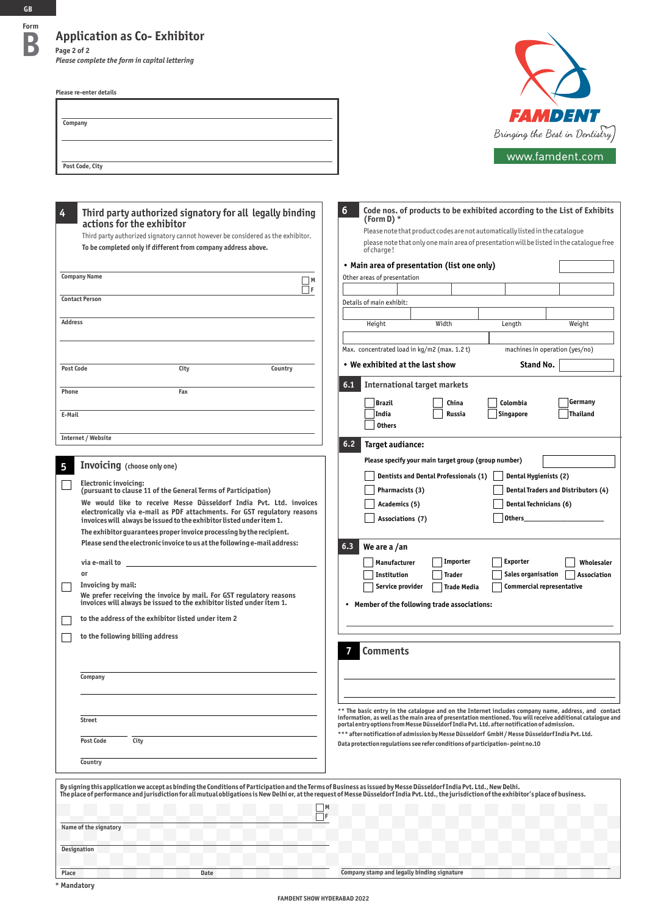# **Application as Co- Exhibitor**<br> **B Page 2 of 2**

*Please complete the form in capital lettering*

**Please re-enter details**

| Company         |  |  |
|-----------------|--|--|
|                 |  |  |
|                 |  |  |
|                 |  |  |
| Post Code, City |  |  |



| Please note that product codes are not automatically listed in the catalogue<br>Third party authorized signatory cannot however be considered as the exhibitor.<br>please note that only one main area of presentation will be listed in the cataloque free<br>To be completed only if different from company address above.<br>of charge!<br>• Main area of presentation (list one only)<br><b>Company Name</b><br>Other areas of presentation<br> M<br>$\Box$ f<br><b>Contact Person</b><br>Details of main exhibit:<br><b>Address</b><br>Height<br>Width<br>Length<br>Max. concentrated load in kg/m2 (max. 1.2 t)<br>$\bullet\,$ We exhibited at the last show<br>City<br>Country<br><b>Post Code</b><br>6.1<br><b>International target markets</b><br>Phone<br>Fax<br><b>Brazil</b><br>China<br>Colombia<br>India<br>Russia<br><b>Singapore</b><br>E-Mail<br><b>Others</b><br>Internet / Website<br>6.2<br>Target audiance:<br>Please specify your main target group (group number)<br><b>Invoicing</b> (choose only one)<br>5<br>Dentists and Dental Professionals (1)<br>Electronic invoicing:<br>Pharmacists (3)<br>(pursuant to clause 11 of the General Terms of Participation)<br>We would like to receive Messe Düsseldorf India Pvt. Ltd. invoices<br>Academics (5)<br>electronically via e-mail as PDF attachments. For GST regulatory reasons<br>Associations (7)<br>invoices will always be issued to the exhibitor listed under item 1.<br>The exhibitor guarantees proper invoice processing by the recipient.<br>Please send the electronic invoice to us at the following e-mail address:<br>6.3<br>We are a /an<br>Importer<br>Manufacturer<br>via e-mail to ________________________<br>or<br>Institution<br><b>Trader</b><br>Invoicing by mail:<br>Service provider<br><b>Trade Media</b><br>We prefer receiving the invoice by mail. For GST regulatory reasons<br>invoices will always be issued to the exhibitor listed under item 1.<br>• Member of the following trade associations:<br>to the address of the exhibitor listed under item 2<br>to the following billing address<br><b>Comments</b> |                                     |
|--------------------------------------------------------------------------------------------------------------------------------------------------------------------------------------------------------------------------------------------------------------------------------------------------------------------------------------------------------------------------------------------------------------------------------------------------------------------------------------------------------------------------------------------------------------------------------------------------------------------------------------------------------------------------------------------------------------------------------------------------------------------------------------------------------------------------------------------------------------------------------------------------------------------------------------------------------------------------------------------------------------------------------------------------------------------------------------------------------------------------------------------------------------------------------------------------------------------------------------------------------------------------------------------------------------------------------------------------------------------------------------------------------------------------------------------------------------------------------------------------------------------------------------------------------------------------------------------------------------------------------------------------------------------------------------------------------------------------------------------------------------------------------------------------------------------------------------------------------------------------------------------------------------------------------------------------------------------------------------------------------------------------------------------------------------------------------------------------------------------------------|-------------------------------------|
|                                                                                                                                                                                                                                                                                                                                                                                                                                                                                                                                                                                                                                                                                                                                                                                                                                                                                                                                                                                                                                                                                                                                                                                                                                                                                                                                                                                                                                                                                                                                                                                                                                                                                                                                                                                                                                                                                                                                                                                                                                                                                                                                |                                     |
|                                                                                                                                                                                                                                                                                                                                                                                                                                                                                                                                                                                                                                                                                                                                                                                                                                                                                                                                                                                                                                                                                                                                                                                                                                                                                                                                                                                                                                                                                                                                                                                                                                                                                                                                                                                                                                                                                                                                                                                                                                                                                                                                |                                     |
|                                                                                                                                                                                                                                                                                                                                                                                                                                                                                                                                                                                                                                                                                                                                                                                                                                                                                                                                                                                                                                                                                                                                                                                                                                                                                                                                                                                                                                                                                                                                                                                                                                                                                                                                                                                                                                                                                                                                                                                                                                                                                                                                |                                     |
|                                                                                                                                                                                                                                                                                                                                                                                                                                                                                                                                                                                                                                                                                                                                                                                                                                                                                                                                                                                                                                                                                                                                                                                                                                                                                                                                                                                                                                                                                                                                                                                                                                                                                                                                                                                                                                                                                                                                                                                                                                                                                                                                |                                     |
|                                                                                                                                                                                                                                                                                                                                                                                                                                                                                                                                                                                                                                                                                                                                                                                                                                                                                                                                                                                                                                                                                                                                                                                                                                                                                                                                                                                                                                                                                                                                                                                                                                                                                                                                                                                                                                                                                                                                                                                                                                                                                                                                | Weight                              |
|                                                                                                                                                                                                                                                                                                                                                                                                                                                                                                                                                                                                                                                                                                                                                                                                                                                                                                                                                                                                                                                                                                                                                                                                                                                                                                                                                                                                                                                                                                                                                                                                                                                                                                                                                                                                                                                                                                                                                                                                                                                                                                                                | machines in operation (yes/no)      |
|                                                                                                                                                                                                                                                                                                                                                                                                                                                                                                                                                                                                                                                                                                                                                                                                                                                                                                                                                                                                                                                                                                                                                                                                                                                                                                                                                                                                                                                                                                                                                                                                                                                                                                                                                                                                                                                                                                                                                                                                                                                                                                                                | Stand No.                           |
|                                                                                                                                                                                                                                                                                                                                                                                                                                                                                                                                                                                                                                                                                                                                                                                                                                                                                                                                                                                                                                                                                                                                                                                                                                                                                                                                                                                                                                                                                                                                                                                                                                                                                                                                                                                                                                                                                                                                                                                                                                                                                                                                |                                     |
|                                                                                                                                                                                                                                                                                                                                                                                                                                                                                                                                                                                                                                                                                                                                                                                                                                                                                                                                                                                                                                                                                                                                                                                                                                                                                                                                                                                                                                                                                                                                                                                                                                                                                                                                                                                                                                                                                                                                                                                                                                                                                                                                | Germany<br>Thailand                 |
|                                                                                                                                                                                                                                                                                                                                                                                                                                                                                                                                                                                                                                                                                                                                                                                                                                                                                                                                                                                                                                                                                                                                                                                                                                                                                                                                                                                                                                                                                                                                                                                                                                                                                                                                                                                                                                                                                                                                                                                                                                                                                                                                |                                     |
|                                                                                                                                                                                                                                                                                                                                                                                                                                                                                                                                                                                                                                                                                                                                                                                                                                                                                                                                                                                                                                                                                                                                                                                                                                                                                                                                                                                                                                                                                                                                                                                                                                                                                                                                                                                                                                                                                                                                                                                                                                                                                                                                | Dental Hygienists (2)               |
|                                                                                                                                                                                                                                                                                                                                                                                                                                                                                                                                                                                                                                                                                                                                                                                                                                                                                                                                                                                                                                                                                                                                                                                                                                                                                                                                                                                                                                                                                                                                                                                                                                                                                                                                                                                                                                                                                                                                                                                                                                                                                                                                | Dental Traders and Distributors (4) |
|                                                                                                                                                                                                                                                                                                                                                                                                                                                                                                                                                                                                                                                                                                                                                                                                                                                                                                                                                                                                                                                                                                                                                                                                                                                                                                                                                                                                                                                                                                                                                                                                                                                                                                                                                                                                                                                                                                                                                                                                                                                                                                                                | Dental Technicians (6)<br>Others    |
|                                                                                                                                                                                                                                                                                                                                                                                                                                                                                                                                                                                                                                                                                                                                                                                                                                                                                                                                                                                                                                                                                                                                                                                                                                                                                                                                                                                                                                                                                                                                                                                                                                                                                                                                                                                                                                                                                                                                                                                                                                                                                                                                |                                     |
|                                                                                                                                                                                                                                                                                                                                                                                                                                                                                                                                                                                                                                                                                                                                                                                                                                                                                                                                                                                                                                                                                                                                                                                                                                                                                                                                                                                                                                                                                                                                                                                                                                                                                                                                                                                                                                                                                                                                                                                                                                                                                                                                | <b>Exporter</b><br>Wholesaler       |
|                                                                                                                                                                                                                                                                                                                                                                                                                                                                                                                                                                                                                                                                                                                                                                                                                                                                                                                                                                                                                                                                                                                                                                                                                                                                                                                                                                                                                                                                                                                                                                                                                                                                                                                                                                                                                                                                                                                                                                                                                                                                                                                                | Sales organisation<br>Association   |
|                                                                                                                                                                                                                                                                                                                                                                                                                                                                                                                                                                                                                                                                                                                                                                                                                                                                                                                                                                                                                                                                                                                                                                                                                                                                                                                                                                                                                                                                                                                                                                                                                                                                                                                                                                                                                                                                                                                                                                                                                                                                                                                                | Commercial representative           |
|                                                                                                                                                                                                                                                                                                                                                                                                                                                                                                                                                                                                                                                                                                                                                                                                                                                                                                                                                                                                                                                                                                                                                                                                                                                                                                                                                                                                                                                                                                                                                                                                                                                                                                                                                                                                                                                                                                                                                                                                                                                                                                                                |                                     |
|                                                                                                                                                                                                                                                                                                                                                                                                                                                                                                                                                                                                                                                                                                                                                                                                                                                                                                                                                                                                                                                                                                                                                                                                                                                                                                                                                                                                                                                                                                                                                                                                                                                                                                                                                                                                                                                                                                                                                                                                                                                                                                                                |                                     |
| Company                                                                                                                                                                                                                                                                                                                                                                                                                                                                                                                                                                                                                                                                                                                                                                                                                                                                                                                                                                                                                                                                                                                                                                                                                                                                                                                                                                                                                                                                                                                                                                                                                                                                                                                                                                                                                                                                                                                                                                                                                                                                                                                        |                                     |
| ** The basic entry in the catalogue and on the Internet includes company name, address, and contact<br>information, as well as the main area of presentation mentioned. You will receive additional catalogue and<br><b>Street</b><br>portal entry options from Messe Düsseldorf India Pvt. Ltd. after notification of admission.                                                                                                                                                                                                                                                                                                                                                                                                                                                                                                                                                                                                                                                                                                                                                                                                                                                                                                                                                                                                                                                                                                                                                                                                                                                                                                                                                                                                                                                                                                                                                                                                                                                                                                                                                                                              |                                     |
| *** after notification of admission by Messe Düsseldorf GmbH / Messe Düsseldorf India Pvt. Ltd.<br><b>Post Code</b><br>City<br>Data protection regulations see refer conditions of participation-point no.10                                                                                                                                                                                                                                                                                                                                                                                                                                                                                                                                                                                                                                                                                                                                                                                                                                                                                                                                                                                                                                                                                                                                                                                                                                                                                                                                                                                                                                                                                                                                                                                                                                                                                                                                                                                                                                                                                                                   |                                     |
| Country                                                                                                                                                                                                                                                                                                                                                                                                                                                                                                                                                                                                                                                                                                                                                                                                                                                                                                                                                                                                                                                                                                                                                                                                                                                                                                                                                                                                                                                                                                                                                                                                                                                                                                                                                                                                                                                                                                                                                                                                                                                                                                                        |                                     |

|                       |      | By signing this application we accept as binding the Conditions of Participation and the Terms of Business as issued by Messe Düsseldorf India Pvt. Ltd., New Delhi.<br>The place of performance and jurisdiction for all mutual obligations is New Delhi or, at the request of Messe Düsseldorf India Pvt. Ltd., the jurisdiction of the exhibitor's place of business. |
|-----------------------|------|--------------------------------------------------------------------------------------------------------------------------------------------------------------------------------------------------------------------------------------------------------------------------------------------------------------------------------------------------------------------------|
|                       |      |                                                                                                                                                                                                                                                                                                                                                                          |
| Name of the signatory |      |                                                                                                                                                                                                                                                                                                                                                                          |
| <b>Designation</b>    |      |                                                                                                                                                                                                                                                                                                                                                                          |
| Place                 | Date | Company stamp and legally binding signature                                                                                                                                                                                                                                                                                                                              |

#### **FAMDENT SHOW HYDERABAD 2022**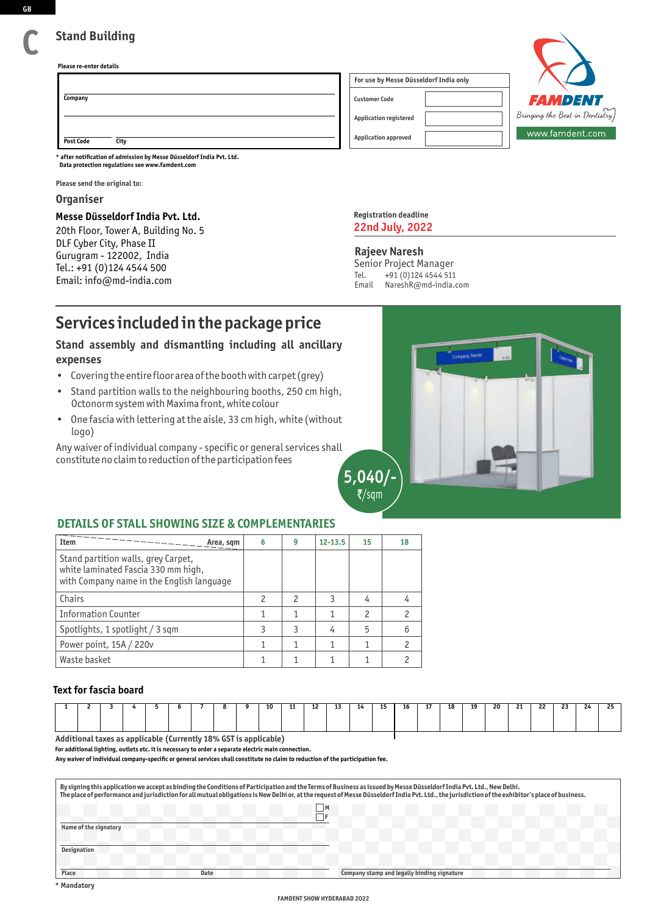## **Stand Building**

**Please re-enter details**

|                          | For use by Messe Düsseldorf India only |                                            |
|--------------------------|----------------------------------------|--------------------------------------------|
| Company                  | <b>Customer Code</b>                   | <b>FAMDENT</b>                             |
|                          | <b>Application registered</b>          | $^\dagger$ Bringing the Best in Dentistry) |
| <b>Post Code</b><br>City | <b>Application approved</b>            | www.famdent.com                            |

**Data protection regulations see www.famdent.com \* after notification of admission by Messe Düsseldorf India Pvt. Ltd.**

**Please send the original to:**

### **Organiser**

#### **Messe Düsseldorf India Pvt. Ltd.**

20th Floor, Tower A, Building No. 5 DLF Cyber City, Phase II Gurugram - 122002, India Tel.: +91 (0)124 4544 500 Email: info@md-india.com

| <b>Registration deadline</b> |  |
|------------------------------|--|
| <b>22nd July, 2022</b>       |  |

### **Rajeev Naresh**

Senior Project Manager<br>Tel. +91 (0)124 4544 511 +91 (0)124 4544 511 Email NareshR@md-india.com

# **Services included in the package price**

### **Stand assembly and dismantling including all ancillary expenses**

- Covering the entire floor area of the booth with carpet (grey)
- Stand partition walls to the neighbouring booths, 250 cm high, Octonorm system with Maxima front, white colour
- One fascia with lettering at the aisle, 33 cm high, white (without logo)

Any waiver of individual company - specific or general services shall constitute no claim to reduction of the participation fees



### **DETAILS OF STALL SHOWING SIZE & COMPLEMENTARIES**

| <b>Item</b><br>Area, sqm                                                                                                | 6 | g | $12 - 13.5$ | 15 | 18 |
|-------------------------------------------------------------------------------------------------------------------------|---|---|-------------|----|----|
| Stand partition walls, grey Carpet,<br>white laminated Fascia 330 mm high,<br>with Company name in the English language |   |   |             |    |    |
| Chairs                                                                                                                  |   |   |             | 4  |    |
| <b>Information Counter</b>                                                                                              |   |   |             |    |    |
| Spotlights, 1 spotlight / 3 sqm                                                                                         |   |   |             | 5  |    |
| Power point, 15A / 220v                                                                                                 |   |   |             |    |    |
| Waste basket                                                                                                            |   |   |             |    |    |

### **Text for fascia board**

|                                                                                                                                                                                                                                                                                                                                                                                                                              |  |  |  |  |  |  |  |  | 10 |  | 12<br> |  | 14 |  |  | 18 | 19 | 20 | - 21<br>. . | つつ<br>" | $\ddot{\phantom{0}}$ | 24 | $\sim$ |
|------------------------------------------------------------------------------------------------------------------------------------------------------------------------------------------------------------------------------------------------------------------------------------------------------------------------------------------------------------------------------------------------------------------------------|--|--|--|--|--|--|--|--|----|--|--------|--|----|--|--|----|----|----|-------------|---------|----------------------|----|--------|
| $\mathbf{A} + \mathbf{B} + \mathbf{C} + \mathbf{A} + \mathbf{A} + \mathbf{A} + \mathbf{A} + \mathbf{A} + \mathbf{A} + \mathbf{A} + \mathbf{A} + \mathbf{A} + \mathbf{A} + \mathbf{A} + \mathbf{A} + \mathbf{A} + \mathbf{A} + \mathbf{A} + \mathbf{A} + \mathbf{A} + \mathbf{A} + \mathbf{A} + \mathbf{A} + \mathbf{A} + \mathbf{A} + \mathbf{A} + \mathbf{A} + \mathbf{A} + \mathbf{A} + \mathbf{A} + \mathbf{A} + \mathbf$ |  |  |  |  |  |  |  |  |    |  |        |  |    |  |  |    |    |    |             |         |                      |    |        |

**Additional taxes as applicable (Currently 18% GST is applicable)**

**For additional lighting, outlets etc. it is necessary to order a separate electric main connection.**

**Any waiver of individual company-specific or general services shall constitute no claim to reduction of the participation fee.**

| By signing this application we accept as binding the Conditions of Participation and the Terms of Business as issued by Messe Düsseldorf India Pvt. Ltd., New Delhi.<br>The place of performance and jurisdiction for all mutual obligations is New Delhi or, at the request of Messe Düsseldorf India Pvt. Ltd., the jurisdiction of the exhibitor's place of business. |                                             |  |  |  |  |
|--------------------------------------------------------------------------------------------------------------------------------------------------------------------------------------------------------------------------------------------------------------------------------------------------------------------------------------------------------------------------|---------------------------------------------|--|--|--|--|
| 1M                                                                                                                                                                                                                                                                                                                                                                       |                                             |  |  |  |  |
| Name of the signatory                                                                                                                                                                                                                                                                                                                                                    |                                             |  |  |  |  |
| <b>Designation</b>                                                                                                                                                                                                                                                                                                                                                       |                                             |  |  |  |  |
| Place<br>Date                                                                                                                                                                                                                                                                                                                                                            | Company stamp and legally binding signature |  |  |  |  |

**C**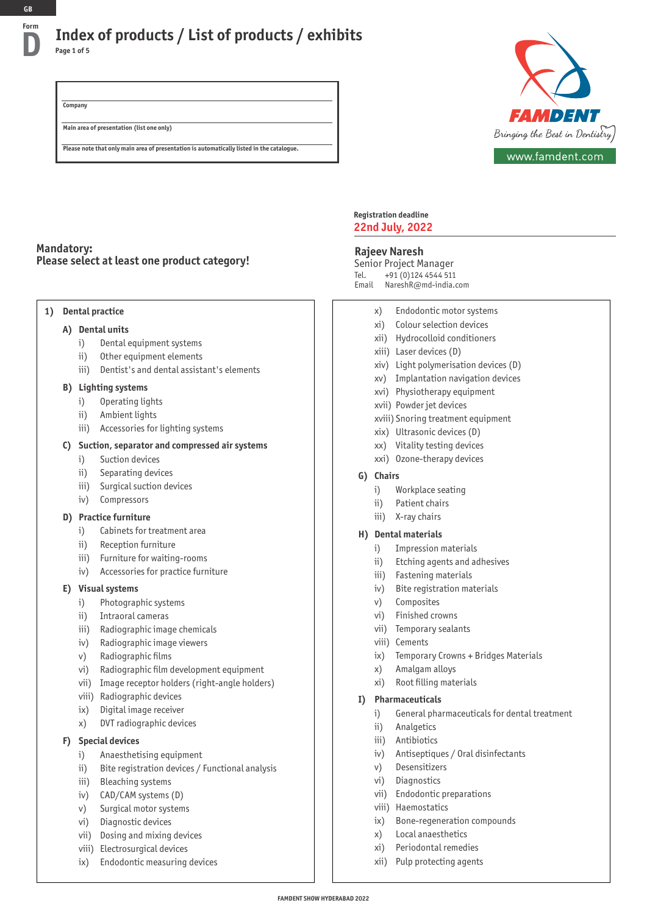## **Index of products / List of products / exhibits D Page 1 of 5**

*FAMDENT* Bringing the Best in Dentistry www.famdent.com

**Company**

**Main area of presentation (list one only)**

**Please note that only main area of presentation is automatically listed in the catalogue.**

### **Mandatory: Please select at least one product category!**

#### **1) Dental practice**

### **A) Dental units**

- i) Dental equipment systems
- ii) Other equipment elements
- iii) Dentist's and dental assistant's elements

#### **B) Lighting systems**

- i) Operating lights
- ii) Ambient lights
- iii) Accessories for lighting systems

### **C) Suction, separator and compressed air systems**

- i) Suction devices
- ii) Separating devices
- iii) Surgical suction devices
- iv) Compressors

### **D) Practice furniture**

- i) Cabinets for treatment area
- ii) Reception furniture
- iii) Furniture for waiting-rooms
- iv) Accessories for practice furniture

### **E) Visual systems**

- i) Photographic systems
- ii) Intraoral cameras
- iii) Radiographic image chemicals
- iv) Radiographic image viewers
- v) Radiographic films
- vi) Radiographic film development equipment
- vii) Image receptor holders (right-angle holders)
- viii) Radiographic devices
- ix) Digital image receiver
- x) DVT radiographic devices

#### **F) Special devices**

- i) Anaesthetising equipment
- ii) Bite registration devices / Functional analysis
- iii) Bleaching systems
- iv) CAD/CAM systems (D)
- v) Surgical motor systems
- vi) Diagnostic devices
- vii) Dosing and mixing devices
- viii) Electrosurgical devices
- ix) Endodontic measuring devices

#### **Registration deadline 22nd July, 2022**

### **Rajeev Naresh**

Senior Project Manager Tel. +91 (0)124 4544 511 Email NareshR@md-india.com

- x) Endodontic motor systems
- xi) Colour selection devices
- xii) Hydrocolloid conditioners
- xiii) Laser devices (D)
- xiv) Light polymerisation devices (D)
- xv) Implantation navigation devices
- xvi) Physiotherapy equipment
- xvii) Powder jet devices
- xviii) Snoring treatment equipment
- xix) Ultrasonic devices (D)
- xx) Vitality testing devices
- xxi) Ozone-therapy devices

#### **G) Chairs**

- i) Workplace seating
- ii) Patient chairs
- iii) X-ray chairs

#### **H) Dental materials**

- i) Impression materials
- ii) Etching agents and adhesives
- iii) Fastening materials
- iv) Bite registration materials
- v) Composites
- vi) Finished crowns
- vii) Temporary sealants
- viii) Cements
- ix) Temporary Crowns + Bridges Materials
- x) Amalgam alloys
- xi) Root filling materials

#### **I) Pharmaceuticals**

- i) General pharmaceuticals for dental treatment
- ii) Analgetics
- iii) Antibiotics
- iv) Antiseptiques / Oral disinfectants
- v) Desensitizers
- vi) Diagnostics
- vii) Endodontic preparations
- viii) Haemostatics
- ix) Bone-regeneration compounds
- x) Local anaesthetics
- xi) Periodontal remedies
- xii) Pulp protecting agents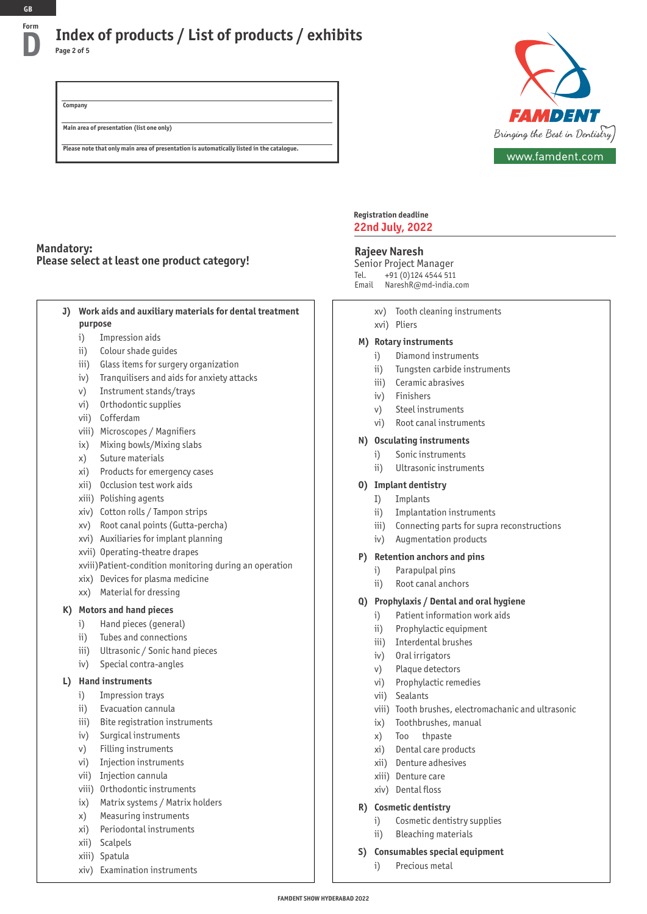## **Index of products / List of products / exhibits D Page 2 of 5**

**Company Main area of presentation (list one only)**

**Please note that only main area of presentation is automatically listed in the catalogue.**



### **Mandatory: Please select at least one product category!**

| Work aids and auxiliary materials for dental treatment |
|--------------------------------------------------------|
| purpose                                                |

- i) Impression aids
- ii) Colour shade guides
- iii) Glass items for surgery organization
- iv) Tranquilisers and aids for anxiety attacks
- v) Instrument stands/trays
- vi) Orthodontic supplies
- vii) Cofferdam
- viii) Microscopes / Magnifiers
- ix) Mixing bowls/Mixing slabs
- x) Suture materials
- xi) Products for emergency cases
- xii) Occlusion test work aids
- xiii) Polishing agents
- xiv) Cotton rolls / Tampon strips
- xv) Root canal points (Gutta-percha)
- xvi) Auxiliaries for implant planning
- xvii) Operating-theatre drapes
- xviii)Patient-condition monitoring during an operation
- xix) Devices for plasma medicine
- xx) Material for dressing

#### **K) Motors and hand pieces**

- i) Hand pieces (general)
- ii) Tubes and connections
- iii) Ultrasonic / Sonic hand pieces
- iv) Special contra-angles

#### **L) Hand instruments**

- i) Impression trays
- ii) Evacuation cannula
- iii) Bite registration instruments
- iv) Surgical instruments
- v) Filling instruments
- vi) Injection instruments
- vii) Injection cannula
- viii) Orthodontic instruments
- ix) Matrix systems / Matrix holders
- x) Measuring instruments
- xi) Periodontal instruments
- xii) Scalpels
- xiii) Spatula
- xiv) Examination instruments

#### **Registration deadline 22nd July, 2022**

#### **Rajeev Naresh**

Senior Project Manager Tel. +91 (0)124 4544 511 Email NareshR@md-india.com

- xv) Tooth cleaning instruments
- xvi) Pliers

#### **M) Rotary instruments**

- i) Diamond instruments
- ii) Tungsten carbide instruments
- iii) Ceramic abrasives
- iv) Finishers
- v) Steel instruments
- vi) Root canal instruments

#### **N) Osculating instruments**

- i) Sonic instruments
	- ii) Ultrasonic instruments
- **O) Implant dentistry**
	- I) Implants
	- ii) Implantation instruments
	- iii) Connecting parts for supra reconstructions
	- iv) Augmentation products

#### **P) Retention anchors and pins**

- i) Parapulpal pins
- ii) Root canal anchors

#### **Q) Prophylaxis / Dental and oral hygiene**

- i) Patient information work aids
- ii) Prophylactic equipment
- iii) Interdental brushes
- iv) Oral irrigators
- v) Plaque detectors
- vi) Prophylactic remedies
- vii) Sealants
- viii) Tooth brushes, electromachanic and ultrasonic
- ix) Toothbrushes, manual
- x) Too thpaste
- xi) Dental care products
- xii) Denture adhesives
- xiii) Denture care
- xiv) Dental floss

### **R) Cosmetic dentistry**

- i) Cosmetic dentistry supplies
- ii) Bleaching materials
- **S) Consumables special equipment** 
	- i) Precious metal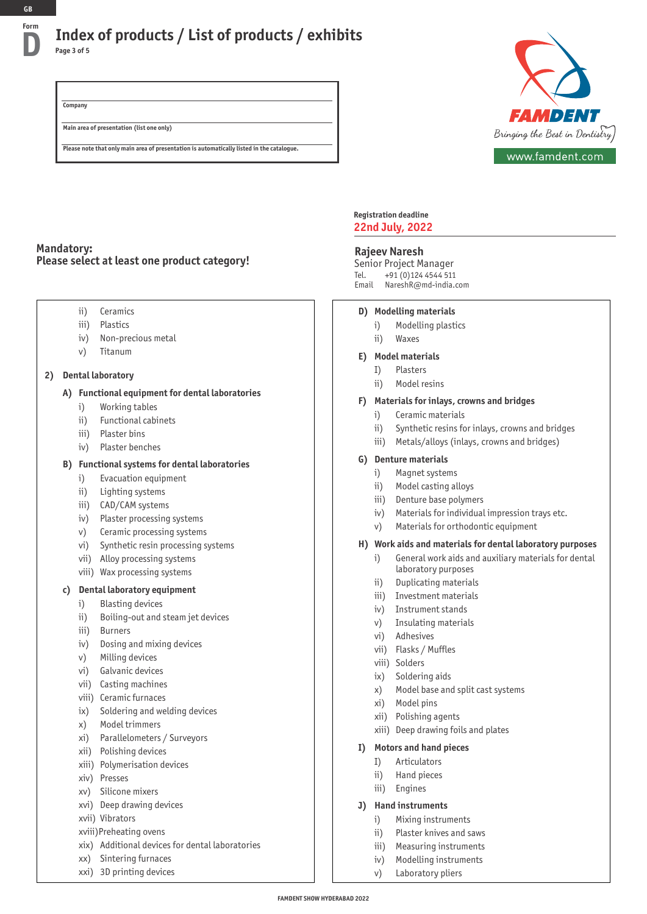## **Index of products / List of products / exhibits D Page 3 of 5**

**Company Main area of presentation (list one only)**

**Please note that only main area of presentation is automatically listed in the catalogue.**



### **Mandatory: Please select at least one product category!**

- ii) Ceramics
- iii) Plastics
- iv) Non-precious metal
- v) Titanum

### **2) Dental laboratory**

### **A) Functional equipment for dental laboratories**

- i) Working tables
- ii) Functional cabinets
- iii) Plaster bins
- iv) Plaster benches

### **B) Functional systems for dental laboratories**

- i) Evacuation equipment
- ii) Lighting systems
- iii) CAD/CAM systems
- iv) Plaster processing systems
- v) Ceramic processing systems
- vi) Synthetic resin processing systems
- vii) Alloy processing systems
- viii) Wax processing systems

### **c) Dental laboratory equipment**

- i) Blasting devices
- ii) Boiling-out and steam jet devices
- iii) Burners
- iv) Dosing and mixing devices
- v) Milling devices
- vi) Galvanic devices
- vii) Casting machines
- viii) Ceramic furnaces
- ix) Soldering and welding devices
- x) Model trimmers
- xi) Parallelometers / Surveyors
- xii) Polishing devices
- xiii) Polymerisation devices
- xiv) Presses
- xv) Silicone mixers
- xvi) Deep drawing devices
- xvii) Vibrators
- xviii)Preheating ovens
- xix) Additional devices for dental laboratories
- xx) Sintering furnaces
- xxi) 3D printing devices

#### **Registration deadline 22nd July, 2022**

#### **Rajeev Naresh**

Senior Project Manager Tel. +91 (0)124 4544 511 Email NareshR@md-india.com

#### **D) Modelling materials**

- i) Modelling plastics
- ii) Waxes

#### **E) Model materials**

- I) Plasters
- ii) Model resins

#### **F) Materials for inlays, crowns and bridges**

- i) Ceramic materials
- ii) Synthetic resins for inlays, crowns and bridges
- iii) Metals/alloys (inlays, crowns and bridges)

### **G) Denture materials**

- i) Magnet systems
- ii) Model casting alloys
- iii) Denture base polymers
- iv) Materials for individual impression trays etc.
- v) Materials for orthodontic equipment

#### **H) Work aids and materials for dental laboratory purposes**

- i) General work aids and auxiliary materials for dental laboratory purposes
- ii) Duplicating materials
- iii) Investment materials
- iv) Instrument stands
- v) Insulating materials
- vi) Adhesives
- vii) Flasks / Muffles
- viii) Solders
- ix) Soldering aids
- x) Model base and split cast systems
- xi) Model pins
- xii) Polishing agents
- xiii) Deep drawing foils and plates

#### **I) Motors and hand pieces**

- I) Articulators
- ii) Hand pieces
- iii) Engines

#### **J) Hand instruments**

- i) Mixing instruments
- ii) Plaster knives and saws
- iii) Measuring instruments
- iv) Modelling instruments
- v) Laboratory pliers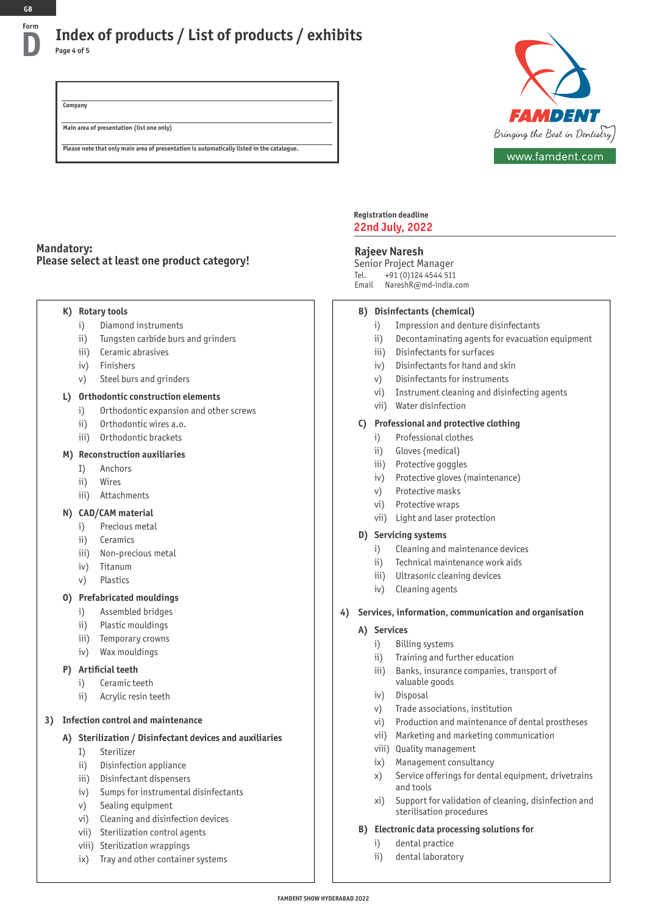## **Index of products / List of products / exhibits D Page 4 of 5**

**Company Main area of presentation (list one only)**

**Please note that only main area of presentation is automatically listed in the catalogue.**



**Mandatory: Please select at least one product category!**

### **K) Rotary tools**

- i) Diamond instruments
- ii) Tungsten carbide burs and grinders
- iii) Ceramic abrasives
- iv) Finishers
- v) Steel burs and grinders

#### **L) Orthodontic construction elements**

- i) Orthodontic expansion and other screws
- ii) Orthodontic wires a.o.
- iii) Orthodontic brackets

#### **M) Reconstruction auxiliaries**

- I) Anchors
- ii) Wires
- iii) Attachments

### **N) CAD/CAM material**

- i) Precious metal
- ii) Ceramics
- iii) Non-precious metal
- iv) Titanum
- v) Plastics

### **O) Prefabricated mouldings**

- i) Assembled bridges
- ii) Plastic mouldings
- iii) Temporary crowns
- iv) Wax mouldings

### **P) Artificial teeth**

- i) Ceramic teeth
- ii) Acrylic resin teeth

### **3) Infection control and maintenance**

### **A) Sterilization / Disinfectant devices and auxiliaries**

- I) Sterilizer
- ii) Disinfection appliance
- iii) Disinfectant dispensers
- iv) Sumps for instrumental disinfectants
- v) Sealing equipment
- vi) Cleaning and disinfection devices
- vii) Sterilization control agents
- viii) Sterilization wrappings
- ix) Tray and other container systems

#### **Registration deadline 22nd July, 2022**

### **Rajeev Naresh**

Senior Project Manager Tel. +91 (0)124 4544 511 Email NareshR@md-india.com

### **B) Disinfectants (chemical)**

- i) Impression and denture disinfectants
- ii) Decontaminating agents for evacuation equipment
- iii) Disinfectants for surfaces
- iv) Disinfectants for hand and skin
- v) Disinfectants for instruments
- vi) Instrument cleaning and disinfecting agents
- vii) Water disinfection

### **C) Professional and protective clothing**

- i) Professional clothes
- ii) Gloves (medical)
- iii) Protective goggles
- iv) Protective gloves (maintenance)
- v) Protective masks
- vi) Protective wraps
- vii) Light and laser protection

#### **D) Servicing systems**

- i) Cleaning and maintenance devices
- ii) Technical maintenance work aids
- iii) Ultrasonic cleaning devices
- iv) Cleaning agents

### **4) Services, information, communication and organisation**

### **A) Services**

- i) Billing systems
- ii) Training and further education
- iii) Banks, insurance companies, transport of valuable goods
- iv) Disposal
- v) Trade associations, institution
- vi) Production and maintenance of dental prostheses
- vii) Marketing and marketing communication
- viii) Quality management
- ix) Management consultancy
- x) Service offerings for dental equipment, drivetrains and tools
- xi) Support for validation of cleaning, disinfection and sterilisation procedures

#### **B) Electronic data processing solutions for**

- i) dental practice
- ii) dental laboratory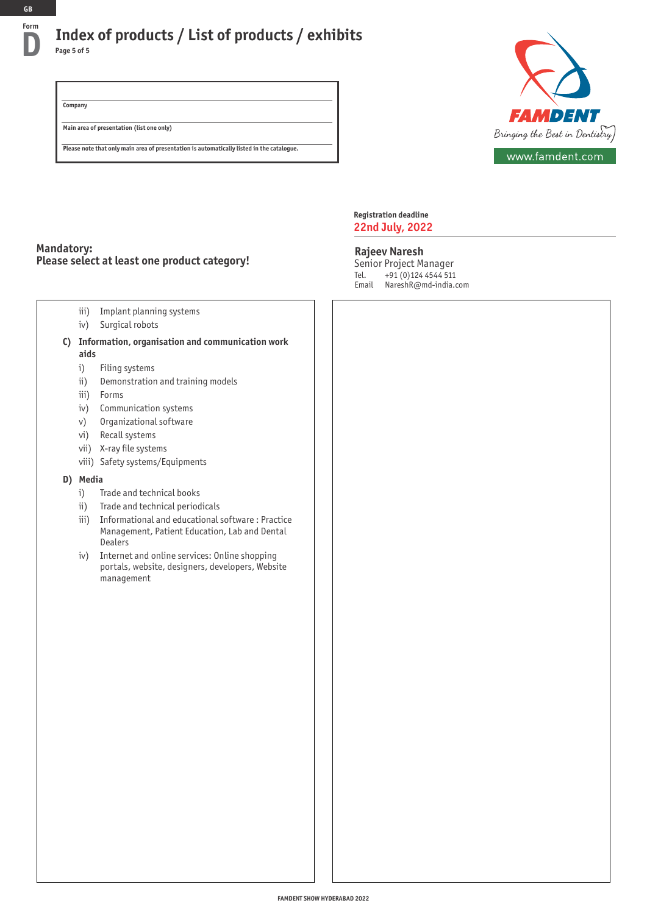## **Index of products / List of products / exhibits D Page 5 of 5**

**Company Main area of presentation (list one only)**



**Please note that only main area of presentation is automatically listed in the catalogue.**

### **Mandatory: Please select at least one product category!**

- iii) Implant planning systems
- iv) Surgical robots
- **C) Information, organisation and communication work aids** 
	- i) Filing systems
	- ii) Demonstration and training models
	- iii) Forms
	- iv) Communication systems
	- v) Organizational software
	- vi) Recall systems
	- vii) X-ray file systems
	- viii) Safety systems/Equipments

### **D) Media**

- i) Trade and technical books
- ii) Trade and technical periodicals
- iii) Informational and educational software : Practice Management, Patient Education, Lab and Dental **Dealers**
- iv) Internet and online services: Online shopping portals, website, designers, developers, Website management

**Registration deadline 22nd July, 2022**

#### **Rajeev Naresh**

Senior Project Manager Tel. +91 (0)124 4544 511 Email NareshR@md-india.com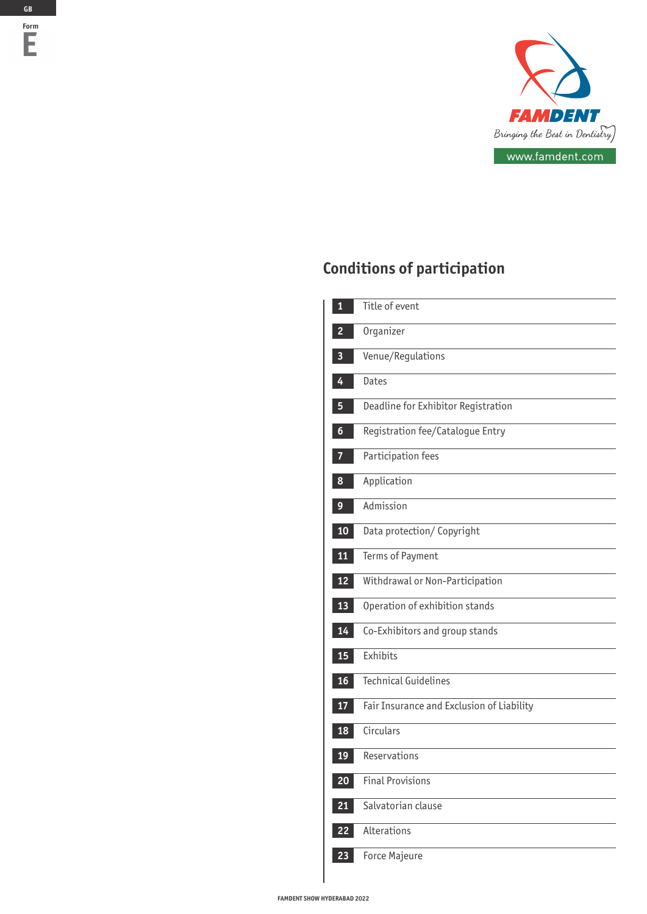

# **Conditions of participation**

| 1  | Title of event                            |
|----|-------------------------------------------|
|    | Organizer                                 |
| 3  | Venue/Regulations                         |
| 4  | <b>Dates</b>                              |
| 5  | Deadline for Exhibitor Registration       |
| 6  | Registration fee/Catalogue Entry          |
|    | Participation fees                        |
| 8  | Application                               |
| 9  | Admission                                 |
| 10 | Data protection/ Copyright                |
| 11 | Terms of Payment                          |
| 12 | Withdrawal or Non-Participation           |
| 13 | Operation of exhibition stands            |
| 14 | Co-Exhibitors and group stands            |
| 15 | Exhibits                                  |
| 16 | <b>Technical Guidelines</b>               |
| 17 | Fair Insurance and Exclusion of Liability |
| 18 | Circulars                                 |
| 19 | Reservations                              |
| 20 | <b>Final Provisions</b>                   |
| 21 | Salvatorian clause                        |
| 22 | Alterations                               |
| 23 | Force Majeure                             |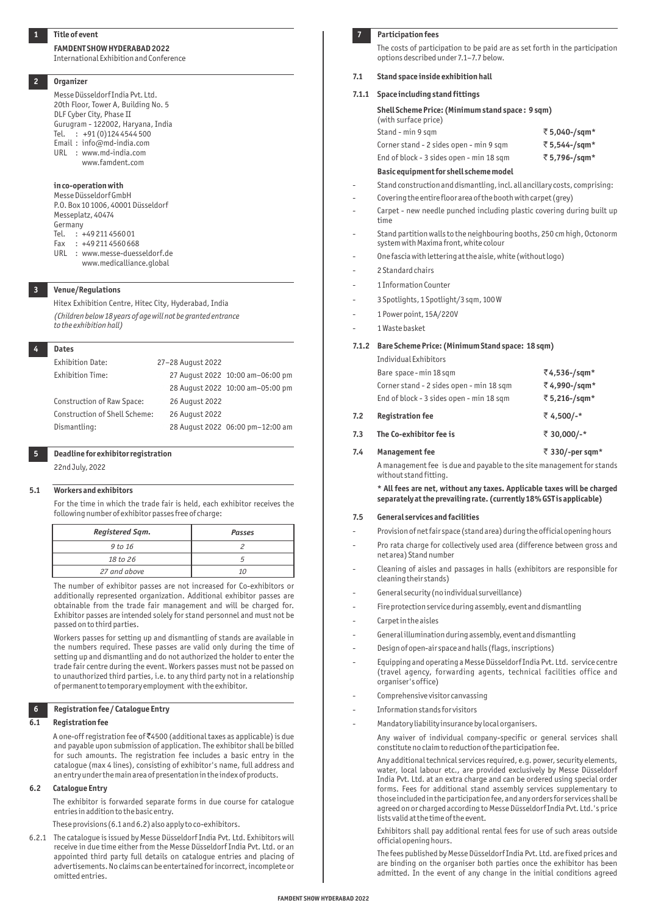#### **Title of event**

#### **FAMDENT SHOW HYDERABAD 2022**

International Exhibition and Conference

#### **2 Organizer**

Messe Düsseldorf India Pvt. Ltd. 20th Floor, Tower A, Building No. 5 DLF Cyber City, Phase II Gurugram - 122002, Haryana, India Tel. : +91 (0)124 4544 500 Email : info@md-india.com URL : www.md-india.com www.famdent.com

#### **in co-operation with**

Messe Düsseldorf GmbH P.O. Box 10 1006, 40001 Düsseldorf Messeplatz, 40474 Germany Tel. : +49 211 4560 01 Fax : +49 211 4560 668 URL : www.messe-duesseldorf.de www.medicalliance.global

 **3 Venue/Regulations**

Hitex Exhibition Centre, Hitec City, Hyderabad, India *(Children below 18 years of age will not be granted entrance to the exhibition hall)*

| <b>Dates</b>                  |                   |                                  |
|-------------------------------|-------------------|----------------------------------|
| <b>Exhibition Date:</b>       | 27-28 August 2022 |                                  |
| Exhibition Time:              |                   | 27 August 2022 10:00 am-06:00 pm |
|                               |                   | 28 August 2022 10:00 am-05:00 pm |
| Construction of Raw Space:    | 26 August 2022    |                                  |
| Construction of Shell Scheme: | 26 August 2022    |                                  |
| Dismantling:                  |                   | 28 August 2022 06:00 pm-12:00 am |

### **5 Deadline for exhibitor registration**

22nd July, 2022

#### **5.1 Workers and exhibitors**

For the time in which the trade fair is held, each exhibitor receives the following number of exhibitor passes free of charge:

| Registered Sqm. | Passes |
|-----------------|--------|
| 9 to 16         |        |
| 18 to 26        |        |
| 27 and above    | 1Λ     |
|                 |        |

The number of exhibitor passes are not increased for Co-exhibitors or additionally represented organization. Additional exhibitor passes are obtainable from the trade fair management and will be charged for. Exhibitor passes are intended solely for stand personnel and must not be passed on to third parties.

Workers passes for setting up and dismantling of stands are available in the numbers required. These passes are valid only during the time of setting up and dismantling and do not authorized the holder to enter the trade fair centre during the event. Workers passes must not be passed on to unauthorized third parties, i.e. to any third party not in a relationship of permanent to temporary employment with the exhibitor.

#### **6 Registration fee / Catalogue Entry**

#### **6.1 Registration fee**

A one-off registration fee of `4500 (additional taxes as applicable) is due and payable upon submission of application. The exhibitor shall be billed for such amounts. The registration fee includes a basic entry in the catalogue (max 4 lines), consisting of exhibitor's name, full address and an entry under the main area of presentation in the index of products.

#### **6.2 Catalogue Entry**

The exhibitor is forwarded separate forms in due course for catalogue entries in addition to the basic entry.

These provisions (6.1 and 6.2) also apply to co-exhibitors.

6.2.1 The catalogue is issued by Messe Düsseldorf India Pvt. Ltd. Exhibitors will receive in due time either from the Messe Düsseldorf India Pvt. Ltd. or an appointed third party full details on catalogue entries and placing of advertisements. No claims can be entertained for incorrect, incomplete or omitted entries.

#### **7. Participation fees**

The costs of participation to be paid are as set forth in the participation options described under 7.1–7.7 below.

#### **7.1 Stand space inside exhibition hall**

#### **7.1.1 Space including stand fittings**

| Shell Scheme Price: (Minimum stand space: 9 sqm)<br>(with surface price) |              |
|--------------------------------------------------------------------------|--------------|
| Stand - min 9 sqm                                                        | ₹5,040-/sqm* |
| Corner stand - 2 sides open - min 9 sqm                                  | ₹5,544-/sqm* |
| End of block - 3 sides open - min 18 sqm                                 | ₹5,796-/sqm* |
| Basic equipment for shell scheme model                                   |              |

- Stand construction and dismantling, incl. all ancillary costs, comprising:
- Covering the entire floor area of the booth with carpet (grey)
- Carpet new needle punched including plastic covering during built up time
- Stand partition walls to the neighbouring booths, 250 cm high, Octonorm system with Maxima front, white colour
- One fascia with lettering at the aisle, white (without logo)
- 2 Standard chairs
- 1 Information Counter
- 3 Spotlights, 1 Spotlight/3 sqm, 100 W
- 1 Power point, 15A/220V
- 1 Waste basket

#### **7.1.2 Bare Scheme Price: (Minimum Stand space: 18 sqm)**

Individual Exhibitors Bare space - min 18 sqm `**4,536-/sqm\***

|     | bare space in the sqill<br>Corner stand - 2 sides open - min 18 sqm<br>End of block - 3 sides open - min 18 sqm | $\cdots$<br>₹4,990-/sqm*<br>₹5,216-/sqm* |
|-----|-----------------------------------------------------------------------------------------------------------------|------------------------------------------|
| 7.2 | <b>Registration fee</b>                                                                                         | ₹4,500/-*                                |
| 7.3 | The Co-exhibitor fee is                                                                                         | ₹ 30,000/-*                              |
| 7.4 | <b>Management fee</b>                                                                                           | ₹ 330/-per sqm*                          |

A management fee is due and payable to the site management for stands without stand fitting.

**\* All fees are net, without any taxes. Applicable taxes will be charged separately at the prevailing rate. (currently 18% GST is applicable)**

#### **7.5 General services and facilities**

- Provision of net fair space (stand area) during the official opening hours
- Pro rata charge for collectively used area (difference between gross and net area) Stand number
- Cleaning of aisles and passages in halls (exhibitors are responsible for cleaning their stands)
- General security (no individual surveillance)
- Fire protection service during assembly, event and dismantling
- Carpet in the aisles
- General illumination during assembly, event and dismantling
- Design of open-air space and halls (flags, inscriptions)
- Equipping and operating a Messe Düsseldorf India Pvt. Ltd. service centre (travel agency, forwarding agents, technical facilities office and organiser's office)
- Comprehensive visitor canvassing
- Information stands for visitors
- Mandatory liability insurance by local organisers.
	- Any waiver of individual company-specific or general services shall constitute no claim to reduction of the participation fee.

Any additional technical services required, e.g. power, security elements, water, local labour etc., are provided exclusively by Messe Düsseldorf India Pvt. Ltd. at an extra charge and can be ordered using special order forms. Fees for additional stand assembly services supplementary to those included in the participation fee, and any orders for services shall be agreed on or charged according to Messe Düsseldorf India Pvt. Ltd.'s price lists valid at the time of the event.

Exhibitors shall pay additional rental fees for use of such areas outside official opening hours.

The fees published by Messe Düsseldorf India Pvt. Ltd. are fixed prices and are binding on the organiser both parties once the exhibitor has been admitted. In the event of any change in the initial conditions agreed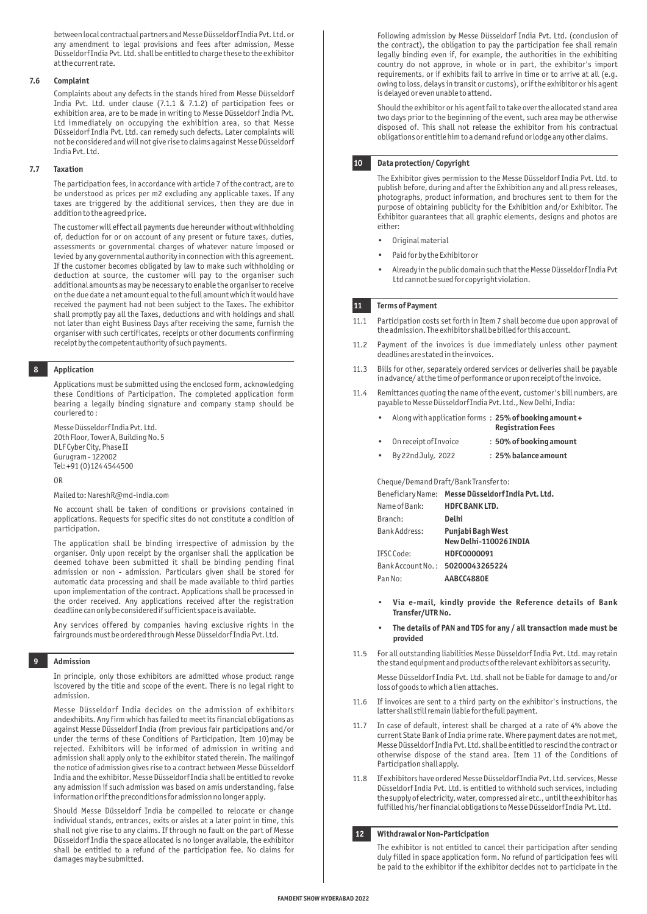between local contractual partners and Messe Düsseldorf India Pvt. Ltd. or any amendment to legal provisions and fees after admission, Messe Düsseldorf India Pvt. Ltd. shall be entitled to charge these to the exhibitor at the current rate.

#### **7.6 Complaint**

Complaints about any defects in the stands hired from Messe Düsseldorf India Pvt. Ltd. under clause (7.1.1 & 7.1.2) of participation fees or exhibition area, are to be made in writing to Messe Düsseldorf India Pvt. Ltd immediately on occupying the exhibition area, so that Messe Düsseldorf India Pvt. Ltd. can remedy such defects. Later complaints will not be considered and will not give rise to claims against Messe Düsseldorf India Pvt. Ltd.

#### **7.7 Taxation**

The participation fees, in accordance with article 7 of the contract, are to be understood as prices per m2 excluding any applicable taxes. If any taxes are triggered by the additional services, then they are due in addition to the agreed price.

The customer will effect all payments due hereunder without withholding of, deduction for or on account of any present or future taxes, duties, assessments or governmental charges of whatever nature imposed or levied by any governmental authority in connection with this agreement. If the customer becomes obligated by law to make such withholding or deduction at source, the customer will pay to the organiser such additional amounts as may be necessary to enable the organiser to receive on the due date a net amount equal to the full amount which it would have received the payment had not been subject to the Taxes. The exhibitor shall promptly pay all the Taxes, deductions and with holdings and shall not later than eight Business Days after receiving the same, furnish the organiser with such certificates, receipts or other documents confirming receipt by the competent authority of such payments.

#### **8 Application**

Applications must be submitted using the enclosed form, acknowledging these Conditions of Participation. The completed application form bearing a legally binding signature and company stamp should be couriered to :

Messe Düsseldorf India Pvt. Ltd. 20th Floor, Tower A, Building No. 5 DLF Cyber City, Phase II Gurugram - 122002 Tel: +91 (0)124 4544500

OR

#### Mailed to: NareshR@md-india.com

No account shall be taken of conditions or provisions contained in applications. Requests for specific sites do not constitute a condition of participation.

The application shall be binding irrespective of admission by the organiser. Only upon receipt by the organiser shall the application be deemed tohave been submitted it shall be binding pending final admission or non - admission. Particulars given shall be stored for automatic data processing and shall be made available to third parties upon implementation of the contract. Applications shall be processed in the order received. Any applications received after the registration deadline can only be considered if sufficient space is available.

Any services offered by companies having exclusive rights in the fairgrounds must be ordered through Messe Düsseldorf India Pvt. Ltd.

#### **9 Admission**

In principle, only those exhibitors are admitted whose product range iscovered by the title and scope of the event. There is no legal right to admission.

Messe Düsseldorf India decides on the admission of exhibitors andexhibits. Any firm which has failed to meet its financial obligations as against Messe Düsseldorf India (from previous fair participations and/or under the terms of these Conditions of Participation, Item 10)may be rejected. Exhibitors will be informed of admission in writing and admission shall apply only to the exhibitor stated therein. The mailingof the notice of admission gives rise to a contract between Messe Düsseldorf India and the exhibitor. Messe Düsseldorf India shall be entitled to revoke any admission if such admission was based on amis understanding, false information or if the preconditions for admission no longer apply.

Should Messe Düsseldorf India be compelled to relocate or change individual stands, entrances, exits or aisles at a later point in time, this shall not give rise to any claims. If through no fault on the part of Messe Düsseldorf India the space allocated is no longer available, the exhibitor shall be entitled to a refund of the participation fee. No claims for damages may be submitted.

Following admission by Messe Düsseldorf India Pvt. Ltd. (conclusion of the contract), the obligation to pay the participation fee shall remain legally binding even if, for example, the authorities in the exhibiting country do not approve, in whole or in part, the exhibitor's import requirements, or if exhibits fail to arrive in time or to arrive at all (e.g. owing to loss, delays in transit or customs), or if the exhibitor or his agent is delayed or even unable to attend.

Should the exhibitor or his agent fail to take over the allocated stand area two days prior to the beginning of the event, such area may be otherwise disposed of. This shall not release the exhibitor from his contractual obligations or entitle him to a demand refund or lodge any other claims.

#### **10 Data protection/ Copyright**

The Exhibitor gives permission to the Messe Düsseldorf India Pvt. Ltd. to publish before, during and after the Exhibition any and all press releases, photographs, product information, and brochures sent to them for the purpose of obtaining publicity for the Exhibition and/or Exhibitor. The Exhibitor guarantees that all graphic elements, designs and photos are either:

- Original material
- Paid for by the Exhibitor or
- Already in the public domain such that the Messe Düsseldorf India Pvt Ltd cannot be sued for copyright violation.

#### **11 Terms of Payment**

- 11.1 Participation costs set forth in Item 7 shall become due upon approval of the admission. The exhibitor shall be billed for this account.
- 11.2 Payment of the invoices is due immediately unless other payment deadlines are stated in the invoices.
- 11.3 Bills for other, separately ordered services or deliveries shall be payable in advance/ at the time of performance or upon receipt of the invoice.
- 11.4 Remittances quoting the name of the event, customer's bill numbers, are payable to Messe Düsseldorf India Pvt. Ltd., New Delhi, India:

| $\bullet$ | Along with application forms: $25%$ of booking amount + | <b>Registration Fees</b> |
|-----------|---------------------------------------------------------|--------------------------|
| $\bullet$ | On receipt of Invoice                                   | : 50% of booking amount  |
| $\bullet$ | By 22nd July, 2022                                      | : 25% balance amount     |

Cheque/Demand Draft/Bank Transfer to:

|                      | Beneficiary Name: Messe Düsseldorf India Pvt. Ltd. |
|----------------------|----------------------------------------------------|
| Name of Bank:        | <b>HDFC BANK LTD.</b>                              |
| Branch:              | Delhi                                              |
| <b>Bank Address:</b> | <b>Punjabi Bagh West</b>                           |
|                      | New Delhi-110026 INDIA                             |
| IFSC Code:           | HDFC0000091                                        |
|                      | Bank Account No.: 50200043265224                   |
| Pan No:              | AABCC4880E                                         |

- **Via e-mail, kindly provide the Reference details of Bank Transfer/UTR No.**
- **The details of PAN and TDS for any / all transaction made must be provided**
- 11.5 For all outstanding liabilities Messe Düsseldorf India Pvt. Ltd. may retain the stand equipment and products of the relevant exhibitors as security.

Messe Düsseldorf India Pvt. Ltd. shall not be liable for damage to and/or loss of goods to which a lien attaches.

- 11.6 If invoices are sent to a third party on the exhibitor's instructions, the latter shall still remain liable for the full payment.
- 11.7 In case of default, interest shall be charged at a rate of 4% above the current State Bank of India prime rate. Where payment dates are not met, Messe Düsseldorf India Pvt. Ltd. shall be entitled to rescind the contract or otherwise dispose of the stand area. Item 11 of the Conditions of Participation shall apply.
- 11.8 If exhibitors have ordered Messe Düsseldorf India Pvt. Ltd. services, Messe Düsseldorf India Pvt. Ltd. is entitled to withhold such services, including the supply of electricity, water, compressed air etc., until the exhibitor has fulfilled his/her financial obligations to Messe Düsseldorf India Pvt. Ltd.

#### **12 Withdrawal or Non-Participation**

The exhibitor is not entitled to cancel their participation after sending duly filled in space application form. No refund of participation fees will be paid to the exhibitor if the exhibitor decides not to participate in the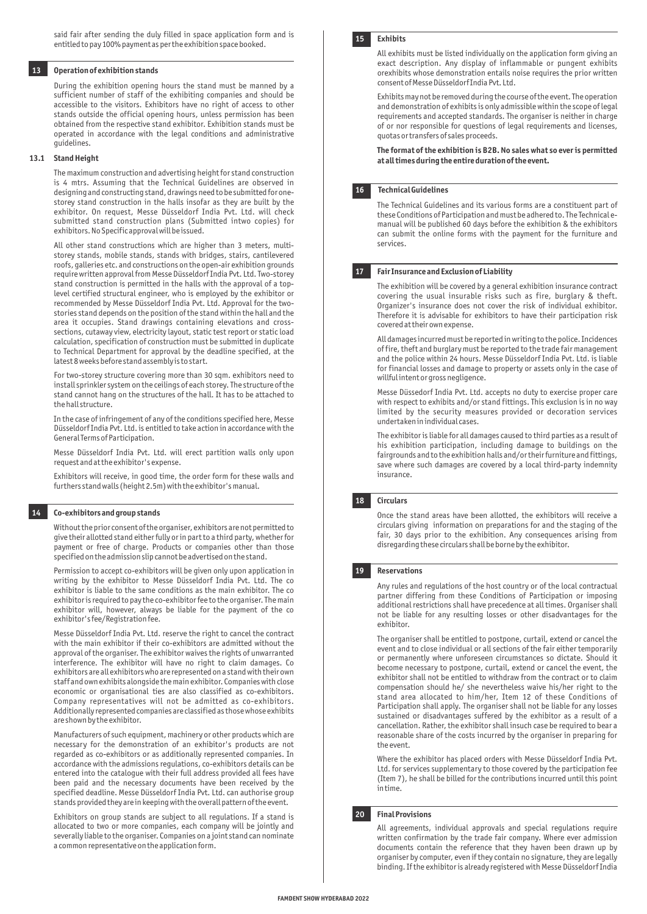#### **13 Operation of exhibition stands**

During the exhibition opening hours the stand must be manned by a sufficient number of staff of the exhibiting companies and should be accessible to the visitors. Exhibitors have no right of access to other stands outside the official opening hours, unless permission has been obtained from the respective stand exhibitor. Exhibition stands must be operated in accordance with the legal conditions and administrative guidelines.

#### **13.1 Stand Height**

The maximum construction and advertising height for stand construction is 4 mtrs. Assuming that the Technical Guidelines are observed in designing and constructing stand, drawings need to be submitted for onestorey stand construction in the halls insofar as they are built by the exhibitor. On request, Messe Düsseldorf India Pvt. Ltd. will check submitted stand construction plans (Submitted intwo copies) for exhibitors. No Specific approval will be issued.

All other stand constructions which are higher than 3 meters, multistorey stands, mobile stands, stands with bridges, stairs, cantilevered roofs, galleries etc. and constructions on the open-air exhibition grounds require written approval from Messe Düsseldorf India Pvt. Ltd. Two-storey stand construction is permitted in the halls with the approval of a toplevel certified structural engineer, who is employed by the exhibitor or recommended by Messe Düsseldorf India Pvt. Ltd. Approval for the twostories stand depends on the position of the stand within the hall and the area it occupies. Stand drawings containing elevations and crosssections, cutaway view, electricity layout, static test report or static load calculation, specification of construction must be submitted in duplicate to Technical Department for approval by the deadline specified, at the latest 8 weeks before stand assembly is to start.

For two-storey structure covering more than 30 sqm. exhibitors need to install sprinkler system on the ceilings of each storey. The structure of the stand cannot hang on the structures of the hall. It has to be attached to the hall structure.

In the case of infringement of any of the conditions specified here, Messe Düsseldorf India Pvt. Ltd. is entitled to take action in accordance with the General Terms of Participation.

Messe Düsseldorf India Pvt. Ltd. will erect partition walls only upon request and at the exhibitor's expense.

Exhibitors will receive, in good time, the order form for these walls and furthers stand walls (height 2.5m) with the exhibitor's manual.

#### **14 Co-exhibitors and group stands**

Without the prior consent of the organiser, exhibitors are not permitted to give their allotted stand either fully or in part to a third party, whether for payment or free of charge. Products or companies other than those specified on the admission slip cannot be advertised on the stand.

Permission to accept co-exhibitors will be given only upon application in writing by the exhibitor to Messe Düsseldorf India Pvt. Ltd. The co exhibitor is liable to the same conditions as the main exhibitor. The co exhibitor is required to pay the co-exhibitor fee to the organiser. The main exhibitor will, however, always be liable for the payment of the co exhibitor's fee/Registration fee.

Messe Düsseldorf India Pvt. Ltd. reserve the right to cancel the contract with the main exhibitor if their co-exhibitors are admitted without the approval of the organiser. The exhibitor waives the rights of unwarranted interference. The exhibitor will have no right to claim damages. Co exhibitors are all exhibitors who are represented on a stand with their own staff and own exhibits alongside the main exhibitor. Companies with close economic or organisational ties are also classified as co-exhibitors. Company representatives will not be admitted as co-exhibitors. Additionally represented companies are classified as those whose exhibits are shown by the exhibitor.

Manufacturers of such equipment, machinery or other products which are necessary for the demonstration of an exhibitor's products are not regarded as co-exhibitors or as additionally represented companies. In accordance with the admissions regulations, co-exhibitors details can be entered into the catalogue with their full address provided all fees have been paid and the necessary documents have been received by the specified deadline. Messe Düsseldorf India Pvt. Ltd. can authorise group stands provided they are in keeping with the overall pattern of the event.

Exhibitors on group stands are subject to all regulations. If a stand is allocated to two or more companies, each company will be jointly and severally liable to the organiser. Companies on a joint stand can nominate a common representative on the application form.



#### **15 Exhibits**

All exhibits must be listed individually on the application form giving an exact description. Any display of inflammable or pungent exhibits orexhibits whose demonstration entails noise requires the prior written consent of Messe Düsseldorf India Pvt. Ltd.

Exhibits may not be removed during the course of the event. The operation and demonstration of exhibits is only admissible within the scope of legal requirements and accepted standards. The organiser is neither in charge of or nor responsible for questions of legal requirements and licenses, quotas or transfers of sales proceeds.

**The format of the exhibition is B2B. No sales what so ever is permitted at all times during the entire duration of the event.**

#### **16 Technical Guidelines**

The Technical Guidelines and its various forms are a constituent part of these Conditions of Participation and must be adhered to. The Technical emanual will be published 60 days before the exhibition & the exhibitors can submit the online forms with the payment for the furniture and services.

#### **Fair Insurance and Exclusion of Liability**

The exhibition will be covered by a general exhibition insurance contract covering the usual insurable risks such as fire, burglary & theft. Organizer's insurance does not cover the risk of individual exhibitor. Therefore it is advisable for exhibitors to have their participation risk covered at their own expense.

All damages incurred must be reported in writing to the police. Incidences of fire, theft and burglary must be reported to the trade fair management and the police within 24 hours. Messe Düsseldorf India Pvt. Ltd. is liable for financial losses and damage to property or assets only in the case of willful intent or gross negligence.

Messe Düssedorf India Pvt. Ltd. accepts no duty to exercise proper care with respect to exhibits and/or stand fittings. This exclusion is in no way limited by the security measures provided or decoration services undertaken in individual cases.

The exhibitor is liable for all damages caused to third parties as a result of his exhibition participation, including damage to buildings on the fairgrounds and to the exhibition halls and/or their furniture and fittings, save where such damages are covered by a local third-party indemnity insurance.

#### **18 Circulars**

Once the stand areas have been allotted, the exhibitors will receive a circulars giving information on preparations for and the staging of the fair, 30 days prior to the exhibition. Any consequences arising from disregarding these circulars shall be borne by the exhibitor.

#### **19 Reservations**

Any rules and regulations of the host country or of the local contractual partner differing from these Conditions of Participation or imposing additional restrictions shall have precedence at all times. Organiser shall not be liable for any resulting losses or other disadvantages for the exhibitor.

The organiser shall be entitled to postpone, curtail, extend or cancel the event and to close individual or all sections of the fair either temporarily or permanently where unforeseen circumstances so dictate. Should it become necessary to postpone, curtail, extend or cancel the event, the exhibitor shall not be entitled to withdraw from the contract or to claim compensation should he/ she nevertheless waive his/her right to the stand area allocated to him/her, Item 12 of these Conditions of Participation shall apply. The organiser shall not be liable for any losses sustained or disadvantages suffered by the exhibitor as a result of a cancellation. Rather, the exhibitor shall insuch case be required to bear a reasonable share of the costs incurred by the organiser in preparing for the event.

Where the exhibitor has placed orders with Messe Düsseldorf India Pvt. Ltd. for services supplementary to those covered by the participation fee (Item 7), he shall be billed for the contributions incurred until this point in time.

#### **20 Final Provisions**

All agreements, individual approvals and special regulations require written confirmation by the trade fair company. Where ever admission documents contain the reference that they haven been drawn up by organiser by computer, even if they contain no signature, they are legally binding. If the exhibitor is already registered with Messe Düsseldorf India